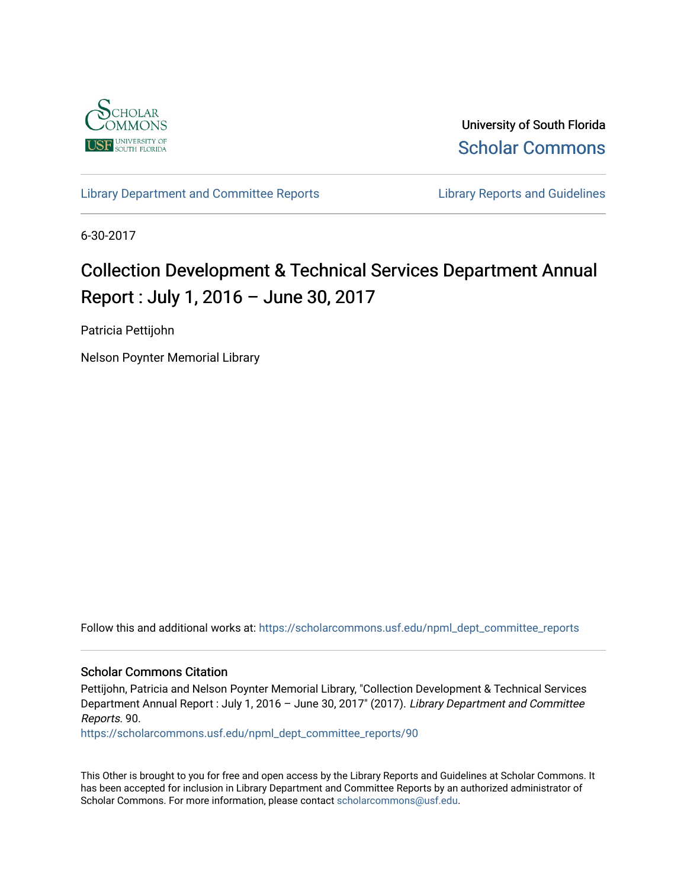

University of South Florida [Scholar Commons](https://scholarcommons.usf.edu/) 

[Library Department and Committee Reports](https://scholarcommons.usf.edu/npml_dept_committee_reports) **Library Reports and Guidelines** 

6-30-2017

# Collection Development & Technical Services Department Annual Report : July 1, 2016 – June 30, 2017

Patricia Pettijohn

Nelson Poynter Memorial Library

Follow this and additional works at: [https://scholarcommons.usf.edu/npml\\_dept\\_committee\\_reports](https://scholarcommons.usf.edu/npml_dept_committee_reports?utm_source=scholarcommons.usf.edu%2Fnpml_dept_committee_reports%2F90&utm_medium=PDF&utm_campaign=PDFCoverPages)

#### Scholar Commons Citation

Pettijohn, Patricia and Nelson Poynter Memorial Library, "Collection Development & Technical Services Department Annual Report : July 1, 2016 – June 30, 2017" (2017). Library Department and Committee Reports. 90.

[https://scholarcommons.usf.edu/npml\\_dept\\_committee\\_reports/90](https://scholarcommons.usf.edu/npml_dept_committee_reports/90?utm_source=scholarcommons.usf.edu%2Fnpml_dept_committee_reports%2F90&utm_medium=PDF&utm_campaign=PDFCoverPages) 

This Other is brought to you for free and open access by the Library Reports and Guidelines at Scholar Commons. It has been accepted for inclusion in Library Department and Committee Reports by an authorized administrator of Scholar Commons. For more information, please contact [scholarcommons@usf.edu](mailto:scholarcommons@usf.edu).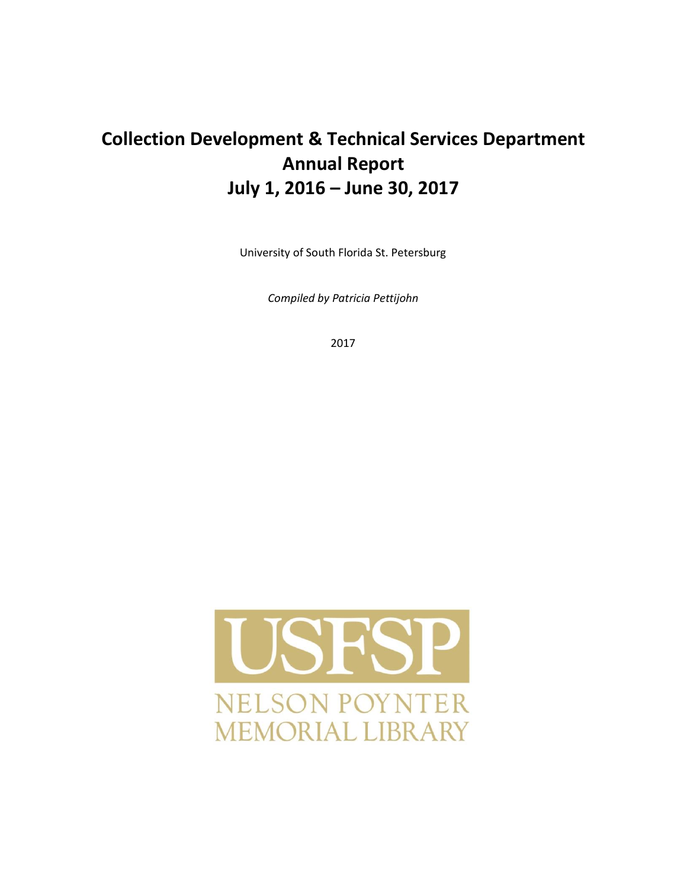## **Collection Development & Technical Services Department Annual Report July 1, 2016 – June 30, 2017**

University of South Florida St. Petersburg

*Compiled by Patricia Pettijohn* 

2017

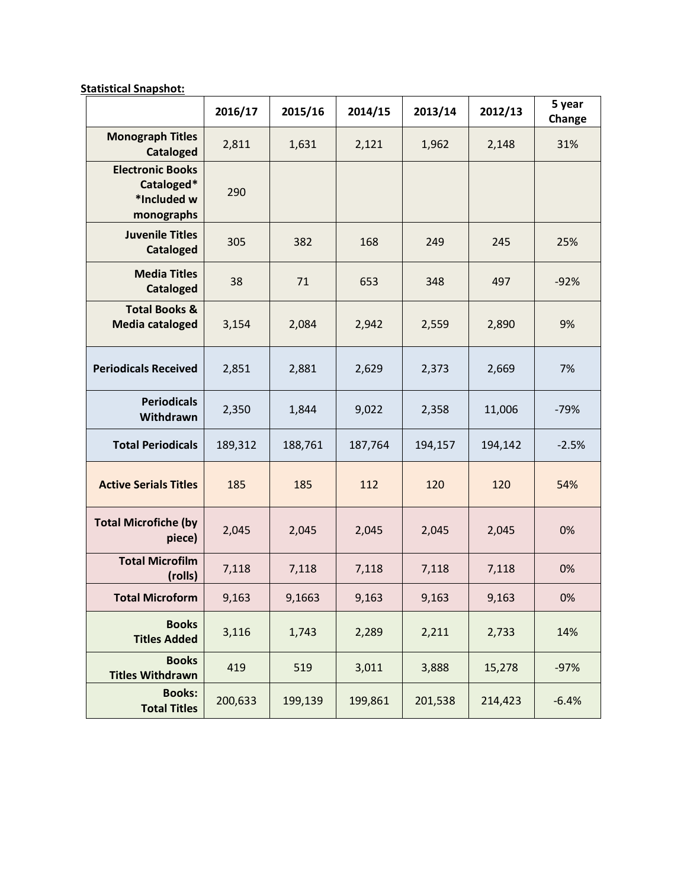**Statistical Snapshot:**

|                                                                    | 2016/17 | 2015/16 | 2014/15 | 2013/14 | 2012/13 | 5 year<br>Change |
|--------------------------------------------------------------------|---------|---------|---------|---------|---------|------------------|
| <b>Monograph Titles</b><br><b>Cataloged</b>                        | 2,811   | 1,631   | 2,121   | 1,962   | 2,148   | 31%              |
| <b>Electronic Books</b><br>Cataloged*<br>*Included w<br>monographs | 290     |         |         |         |         |                  |
| <b>Juvenile Titles</b><br><b>Cataloged</b>                         | 305     | 382     | 168     | 249     | 245     | 25%              |
| <b>Media Titles</b><br><b>Cataloged</b>                            | 38      | 71      | 653     | 348     | 497     | $-92%$           |
| <b>Total Books &amp;</b><br><b>Media cataloged</b>                 | 3,154   | 2,084   | 2,942   | 2,559   | 2,890   | 9%               |
| <b>Periodicals Received</b>                                        | 2,851   | 2,881   | 2,629   | 2,373   | 2,669   | 7%               |
| <b>Periodicals</b><br>Withdrawn                                    | 2,350   | 1,844   | 9,022   | 2,358   | 11,006  | $-79%$           |
| <b>Total Periodicals</b>                                           | 189,312 | 188,761 | 187,764 | 194,157 | 194,142 | $-2.5%$          |
| <b>Active Serials Titles</b>                                       | 185     | 185     | 112     | 120     | 120     | 54%              |
| <b>Total Microfiche (by</b><br>piece)                              | 2,045   | 2,045   | 2,045   | 2,045   | 2,045   | 0%               |
| <b>Total Microfilm</b><br>(rolls)                                  | 7,118   | 7,118   | 7,118   | 7,118   | 7,118   | 0%               |
| <b>Total Microform</b>                                             | 9,163   | 9,1663  | 9,163   | 9,163   | 9,163   | 0%               |
| <b>Books</b><br><b>Titles Added</b>                                | 3,116   | 1,743   | 2,289   | 2,211   | 2,733   | 14%              |
| <b>Books</b><br><b>Titles Withdrawn</b>                            | 419     | 519     | 3,011   | 3,888   | 15,278  | $-97%$           |
| <b>Books:</b><br><b>Total Titles</b>                               | 200,633 | 199,139 | 199,861 | 201,538 | 214,423 | $-6.4%$          |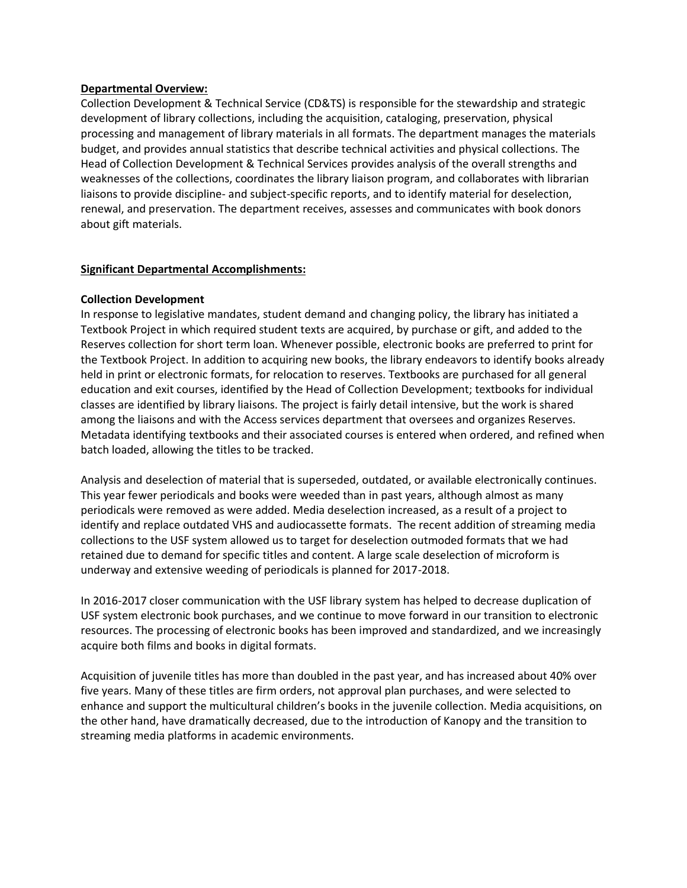#### **Departmental Overview:**

Collection Development & Technical Service (CD&TS) is responsible for the stewardship and strategic development of library collections, including the acquisition, cataloging, preservation, physical processing and management of library materials in all formats. The department manages the materials budget, and provides annual statistics that describe technical activities and physical collections. The Head of Collection Development & Technical Services provides analysis of the overall strengths and weaknesses of the collections, coordinates the library liaison program, and collaborates with librarian liaisons to provide discipline- and subject-specific reports, and to identify material for deselection, renewal, and preservation. The department receives, assesses and communicates with book donors about gift materials.

#### **Significant Departmental Accomplishments:**

#### **Collection Development**

In response to legislative mandates, student demand and changing policy, the library has initiated a Textbook Project in which required student texts are acquired, by purchase or gift, and added to the Reserves collection for short term loan. Whenever possible, electronic books are preferred to print for the Textbook Project. In addition to acquiring new books, the library endeavors to identify books already held in print or electronic formats, for relocation to reserves. Textbooks are purchased for all general education and exit courses, identified by the Head of Collection Development; textbooks for individual classes are identified by library liaisons. The project is fairly detail intensive, but the work is shared among the liaisons and with the Access services department that oversees and organizes Reserves. Metadata identifying textbooks and their associated courses is entered when ordered, and refined when batch loaded, allowing the titles to be tracked.

Analysis and deselection of material that is superseded, outdated, or available electronically continues. This year fewer periodicals and books were weeded than in past years, although almost as many periodicals were removed as were added. Media deselection increased, as a result of a project to identify and replace outdated VHS and audiocassette formats. The recent addition of streaming media collections to the USF system allowed us to target for deselection outmoded formats that we had retained due to demand for specific titles and content. A large scale deselection of microform is underway and extensive weeding of periodicals is planned for 2017-2018.

In 2016-2017 closer communication with the USF library system has helped to decrease duplication of USF system electronic book purchases, and we continue to move forward in our transition to electronic resources. The processing of electronic books has been improved and standardized, and we increasingly acquire both films and books in digital formats.

Acquisition of juvenile titles has more than doubled in the past year, and has increased about 40% over five years. Many of these titles are firm orders, not approval plan purchases, and were selected to enhance and support the multicultural children's books in the juvenile collection. Media acquisitions, on the other hand, have dramatically decreased, due to the introduction of Kanopy and the transition to streaming media platforms in academic environments.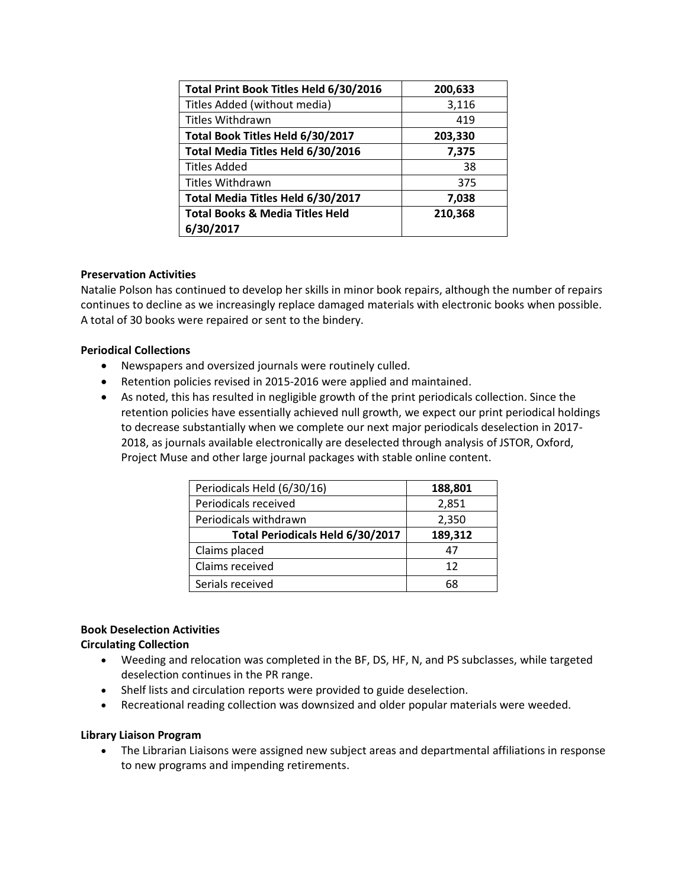| Total Print Book Titles Held 6/30/2016     | 200,633 |
|--------------------------------------------|---------|
| Titles Added (without media)               | 3,116   |
| <b>Titles Withdrawn</b>                    | 419     |
| Total Book Titles Held 6/30/2017           | 203,330 |
| Total Media Titles Held 6/30/2016          | 7,375   |
| <b>Titles Added</b>                        | 38      |
| Titles Withdrawn                           | 375     |
| Total Media Titles Held 6/30/2017          | 7,038   |
| <b>Total Books &amp; Media Titles Held</b> | 210,368 |
| 6/30/2017                                  |         |

## **Preservation Activities**

Natalie Polson has continued to develop her skills in minor book repairs, although the number of repairs continues to decline as we increasingly replace damaged materials with electronic books when possible. A total of 30 books were repaired or sent to the bindery.

## **Periodical Collections**

- Newspapers and oversized journals were routinely culled.
- Retention policies revised in 2015-2016 were applied and maintained.
- As noted, this has resulted in negligible growth of the print periodicals collection. Since the retention policies have essentially achieved null growth, we expect our print periodical holdings to decrease substantially when we complete our next major periodicals deselection in 2017- 2018, as journals available electronically are deselected through analysis of JSTOR, Oxford, Project Muse and other large journal packages with stable online content.

| Periodicals Held (6/30/16)       | 188,801 |  |
|----------------------------------|---------|--|
| Periodicals received             | 2,851   |  |
| Periodicals withdrawn            | 2,350   |  |
| Total Periodicals Held 6/30/2017 | 189,312 |  |
| Claims placed                    | 47      |  |
| Claims received                  | 12      |  |
| Serials received                 | 68      |  |

#### **Book Deselection Activities**

## **Circulating Collection**

- Weeding and relocation was completed in the BF, DS, HF, N, and PS subclasses, while targeted deselection continues in the PR range.
- Shelf lists and circulation reports were provided to guide deselection.
- Recreational reading collection was downsized and older popular materials were weeded.

#### **Library Liaison Program**

• The Librarian Liaisons were assigned new subject areas and departmental affiliations in response to new programs and impending retirements.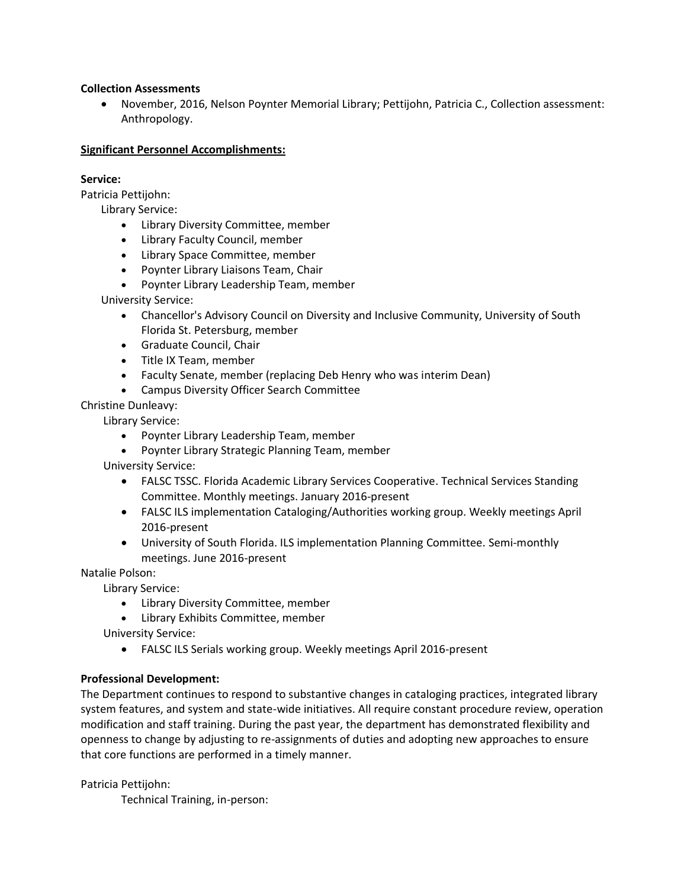#### **Collection Assessments**

• November, 2016, Nelson Poynter Memorial Library; Pettijohn, Patricia C., Collection assessment: Anthropology.

#### **Significant Personnel Accomplishments:**

#### **Service:**

Patricia Pettijohn:

Library Service:

- Library Diversity Committee, member
- Library Faculty Council, member
- Library Space Committee, member
- Poynter Library Liaisons Team, Chair
- Poynter Library Leadership Team, member

University Service:

- Chancellor's Advisory Council on Diversity and Inclusive Community, University of South Florida St. Petersburg, member
- Graduate Council, Chair
- Title IX Team, member
- Faculty Senate, member (replacing Deb Henry who was interim Dean)
- Campus Diversity Officer Search Committee

Christine Dunleavy:

Library Service:

- Poynter Library Leadership Team, member
- Poynter Library Strategic Planning Team, member

University Service:

- FALSC TSSC. Florida Academic Library Services Cooperative. Technical Services Standing Committee. Monthly meetings. January 2016-present
- FALSC ILS implementation Cataloging/Authorities working group. Weekly meetings April 2016-present
- University of South Florida. ILS implementation Planning Committee. Semi-monthly meetings. June 2016-present

Natalie Polson:

Library Service:

• Library Diversity Committee, member

• Library Exhibits Committee, member

University Service:

• FALSC ILS Serials working group. Weekly meetings April 2016-present

#### **Professional Development:**

The Department continues to respond to substantive changes in cataloging practices, integrated library system features, and system and state-wide initiatives. All require constant procedure review, operation modification and staff training. During the past year, the department has demonstrated flexibility and openness to change by adjusting to re-assignments of duties and adopting new approaches to ensure that core functions are performed in a timely manner.

Patricia Pettijohn:

Technical Training, in-person: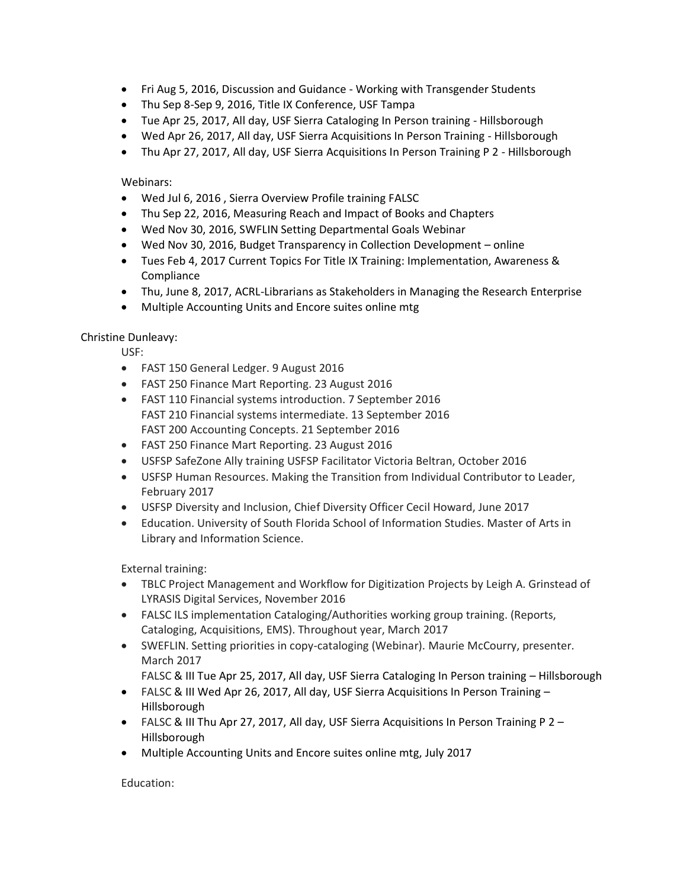- Fri Aug 5, 2016, Discussion and Guidance Working with Transgender Students
- Thu Sep 8-Sep 9, 2016, Title IX Conference, USF Tampa
- Tue Apr 25, 2017, All day, USF Sierra Cataloging In Person training Hillsborough
- Wed Apr 26, 2017, All day, USF Sierra Acquisitions In Person Training Hillsborough
- Thu Apr 27, 2017, All day, USF Sierra Acquisitions In Person Training P 2 Hillsborough

## Webinars:

- Wed Jul 6, 2016 , Sierra Overview Profile training FALSC
- Thu Sep 22, 2016, Measuring Reach and Impact of Books and Chapters
- Wed Nov 30, 2016, SWFLIN Setting Departmental Goals Webinar
- Wed Nov 30, 2016, Budget Transparency in Collection Development online
- Tues Feb 4, 2017 Current Topics For Title IX Training: Implementation, Awareness & Compliance
- Thu, June 8, 2017, ACRL-Librarians as Stakeholders in Managing the Research Enterprise
- Multiple Accounting Units and Encore suites online mtg

## Christine Dunleavy:

USF:

- FAST 150 General Ledger. 9 August 2016
- FAST 250 Finance Mart Reporting. 23 August 2016
- FAST 110 Financial systems introduction. 7 September 2016 FAST 210 Financial systems intermediate. 13 September 2016 FAST 200 Accounting Concepts. 21 September 2016
- FAST 250 Finance Mart Reporting. 23 August 2016
- USFSP SafeZone Ally training USFSP Facilitator Victoria Beltran, October 2016
- USFSP Human Resources. Making the Transition from Individual Contributor to Leader, February 2017
- USFSP Diversity and Inclusion, Chief Diversity Officer Cecil Howard, June 2017
- Education. University of South Florida School of Information Studies. Master of Arts in Library and Information Science.

External training:

- TBLC Project Management and Workflow for Digitization Projects by Leigh A. Grinstead of LYRASIS Digital Services, November 2016
- FALSC ILS implementation Cataloging/Authorities working group training. (Reports, Cataloging, Acquisitions, EMS). Throughout year, March 2017
- SWEFLIN. Setting priorities in copy-cataloging (Webinar). Maurie McCourry, presenter. March 2017
	- FALSC & III Tue Apr 25, 2017, All day, USF Sierra Cataloging In Person training Hillsborough
- FALSC & III Wed Apr 26, 2017, All day, USF Sierra Acquisitions In Person Training -Hillsborough
- FALSC & III Thu Apr 27, 2017, All day, USF Sierra Acquisitions In Person Training P 2 Hillsborough
- Multiple Accounting Units and Encore suites online mtg, July 2017

Education: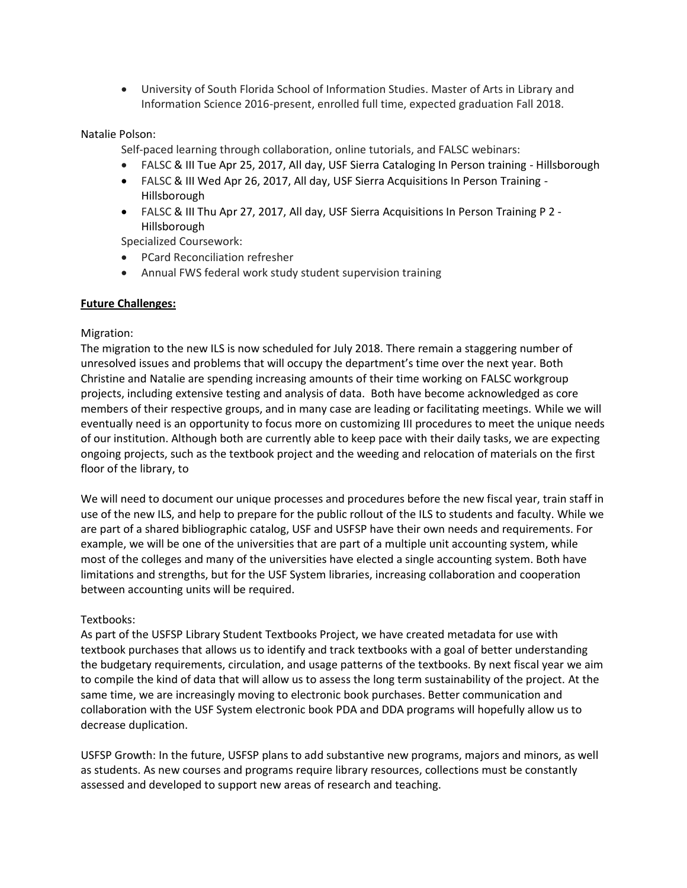• University of South Florida School of Information Studies. Master of Arts in Library and Information Science 2016-present, enrolled full time, expected graduation Fall 2018.

## Natalie Polson:

Self-paced learning through collaboration, online tutorials, and FALSC webinars:

- FALSC & III Tue Apr 25, 2017, All day, USF Sierra Cataloging In Person training Hillsborough
- FALSC & III Wed Apr 26, 2017, All day, USF Sierra Acquisitions In Person Training Hillsborough
- FALSC & III Thu Apr 27, 2017, All day, USF Sierra Acquisitions In Person Training P 2 Hillsborough

Specialized Coursework:

- PCard Reconciliation refresher
- Annual FWS federal work study student supervision training

## **Future Challenges:**

## Migration:

The migration to the new ILS is now scheduled for July 2018. There remain a staggering number of unresolved issues and problems that will occupy the department's time over the next year. Both Christine and Natalie are spending increasing amounts of their time working on FALSC workgroup projects, including extensive testing and analysis of data. Both have become acknowledged as core members of their respective groups, and in many case are leading or facilitating meetings. While we will eventually need is an opportunity to focus more on customizing III procedures to meet the unique needs of our institution. Although both are currently able to keep pace with their daily tasks, we are expecting ongoing projects, such as the textbook project and the weeding and relocation of materials on the first floor of the library, to

We will need to document our unique processes and procedures before the new fiscal year, train staff in use of the new ILS, and help to prepare for the public rollout of the ILS to students and faculty. While we are part of a shared bibliographic catalog, USF and USFSP have their own needs and requirements. For example, we will be one of the universities that are part of a multiple unit accounting system, while most of the colleges and many of the universities have elected a single accounting system. Both have limitations and strengths, but for the USF System libraries, increasing collaboration and cooperation between accounting units will be required.

#### Textbooks:

As part of the USFSP Library Student Textbooks Project, we have created metadata for use with textbook purchases that allows us to identify and track textbooks with a goal of better understanding the budgetary requirements, circulation, and usage patterns of the textbooks. By next fiscal year we aim to compile the kind of data that will allow us to assess the long term sustainability of the project. At the same time, we are increasingly moving to electronic book purchases. Better communication and collaboration with the USF System electronic book PDA and DDA programs will hopefully allow us to decrease duplication.

USFSP Growth: In the future, USFSP plans to add substantive new programs, majors and minors, as well as students. As new courses and programs require library resources, collections must be constantly assessed and developed to support new areas of research and teaching.